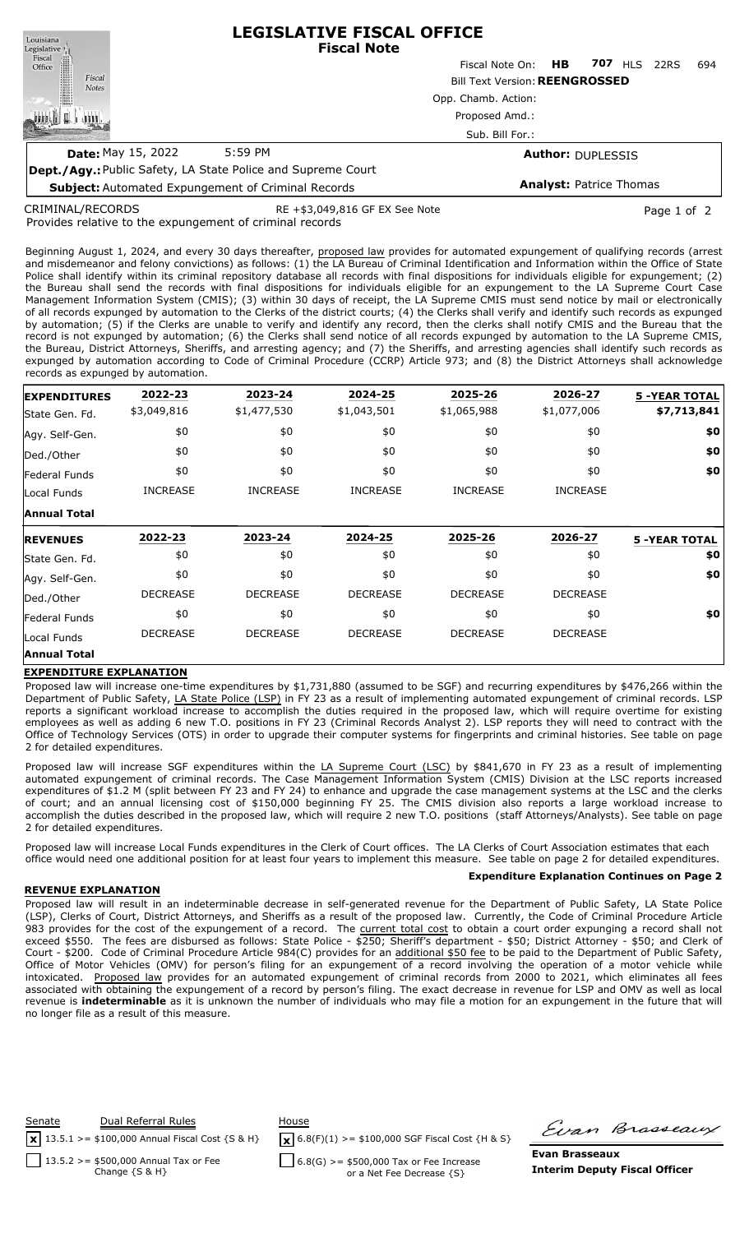**LEGISLATIVE FISCAL OFFICE** Louisiana **Fiscal Note** Legislative <sub>II</sub> Fiscal ∰ Fiscal Note On: **HB 707** HLS 22RS 694 Office Fiscal Bill Text Version:**REENGROSSED Notes** Opp. Chamb. Action: 咖啡山 Proposed Amd.: ATTIT Sub. Bill For.: **Date:** May 15, 2022 5:59 PM **Author:** DUPLESSIS **Dept./Agy.:** Public Safety, LA State Police and Supreme Court **Analyst:** Patrice Thomas **Subject:** Automated Expungement of Criminal Records

CRIMINAL/RECORDS

RE +\$3,049,816 GF EX See Note Page 1 of 2

Provides relative to the expungement of criminal records

Beginning August 1, 2024, and every 30 days thereafter, proposed law provides for automated expungement of qualifying records (arrest and misdemeanor and felony convictions) as follows: (1) the LA Bureau of Criminal Identification and Information within the Office of State Police shall identify within its criminal repository database all records with final dispositions for individuals eligible for expungement; (2) the Bureau shall send the records with final dispositions for individuals eligible for an expungement to the LA Supreme Court Case Management Information System (CMIS); (3) within 30 days of receipt, the LA Supreme CMIS must send notice by mail or electronically of all records expunged by automation to the Clerks of the district courts; (4) the Clerks shall verify and identify such records as expunged by automation; (5) if the Clerks are unable to verify and identify any record, then the clerks shall notify CMIS and the Bureau that the record is not expunged by automation; (6) the Clerks shall send notice of all records expunged by automation to the LA Supreme CMIS, the Bureau, District Attorneys, Sheriffs, and arresting agency; and (7) the Sheriffs, and arresting agencies shall identify such records as expunged by automation according to Code of Criminal Procedure (CCRP) Article 973; and (8) the District Attorneys shall acknowledge records as expunged by automation.

| <b>EXPENDITURES</b> | 2022-23         | 2023-24         | 2024-25         | 2025-26         | 2026-27         | <b>5 -YEAR TOTAL</b> |
|---------------------|-----------------|-----------------|-----------------|-----------------|-----------------|----------------------|
| State Gen. Fd.      | \$3,049,816     | \$1,477,530     | \$1,043,501     | \$1,065,988     | \$1,077,006     | \$7,713,841          |
| Agy. Self-Gen.      | \$0             | \$0             | \$0             | \$0             | \$0             | \$0                  |
| Ded./Other          | \$0             | \$0             | \$0             | \$0             | \$0             | \$0                  |
| Federal Funds       | \$0             | \$0             | \$0             | \$0             | \$0             | \$0                  |
| Local Funds         | <b>INCREASE</b> | <b>INCREASE</b> | <b>INCREASE</b> | <b>INCREASE</b> | <b>INCREASE</b> |                      |
| <b>Annual Total</b> |                 |                 |                 |                 |                 |                      |
| <b>REVENUES</b>     | 2022-23         | 2023-24         | 2024-25         | 2025-26         | 2026-27         | <b>5 -YEAR TOTAL</b> |
| State Gen. Fd.      | \$0             | \$0             | \$0             | \$0             | \$0             | \$0                  |
| Agy. Self-Gen.      | \$0             | \$0             | \$0             | \$0             | \$0             | \$0                  |
| Ded./Other          | <b>DECREASE</b> | <b>DECREASE</b> | <b>DECREASE</b> | <b>DECREASE</b> | <b>DECREASE</b> |                      |
| Federal Funds       | \$0             | \$0             | \$0             | \$0             | \$0             | \$0                  |
| Local Funds         | <b>DECREASE</b> | <b>DECREASE</b> | <b>DECREASE</b> | <b>DECREASE</b> | <b>DECREASE</b> |                      |
|                     |                 |                 |                 |                 |                 |                      |

## **EXPENDITURE EXPLANATION**

Proposed law will increase one-time expenditures by \$1,731,880 (assumed to be SGF) and recurring expenditures by \$476,266 within the Department of Public Safety, LA State Police (LSP) in FY 23 as a result of implementing automated expungement of criminal records. LSP reports a significant workload increase to accomplish the duties required in the proposed law, which will require overtime for existing employees as well as adding 6 new T.O. positions in FY 23 (Criminal Records Analyst 2). LSP reports they will need to contract with the Office of Technology Services (OTS) in order to upgrade their computer systems for fingerprints and criminal histories. See table on page 2 for detailed expenditures.

Proposed law will increase SGF expenditures within the LA Supreme Court (LSC) by \$841,670 in FY 23 as a result of implementing automated expungement of criminal records. The Case Management Information System (CMIS) Division at the LSC reports increased expenditures of \$1.2 M (split between FY 23 and FY 24) to enhance and upgrade the case management systems at the LSC and the clerks of court; and an annual licensing cost of \$150,000 beginning FY 25. The CMIS division also reports a large workload increase to accomplish the duties described in the proposed law, which will require 2 new T.O. positions (staff Attorneys/Analysts). See table on page 2 for detailed expenditures.

Proposed law will increase Local Funds expenditures in the Clerk of Court offices. The LA Clerks of Court Association estimates that each office would need one additional position for at least four years to implement this measure. See table on page 2 for detailed expenditures.

## **REVENUE EXPLANATION**

Proposed law will result in an indeterminable decrease in self-generated revenue for the Department of Public Safety, LA State Police (LSP), Clerks of Court, District Attorneys, and Sheriffs as a result of the proposed law. Currently, the Code of Criminal Procedure Article 983 provides for the cost of the expungement of a record. The current total cost to obtain a court order expunging a record shall not exceed \$550. The fees are disbursed as follows: State Police - \$250; Sheriff's department - \$50; District Attorney - \$50; and Clerk of Court - \$200. Code of Criminal Procedure Article 984(C) provides for an additional \$50 fee to be paid to the Department of Public Safety, Office of Motor Vehicles (OMV) for person's filing for an expungement of a record involving the operation of a motor vehicle while intoxicated. Proposed law provides for an automated expungement of criminal records from 2000 to 2021, which eliminates all fees associated with obtaining the expungement of a record by person's filing. The exact decrease in revenue for LSP and OMV as well as local revenue is **indeterminable** as it is unknown the number of individuals who may file a motion for an expungement in the future that will no longer file as a result of this measure.



 $\sqrt{\mathbf{x}}$  6.8(F)(1) >= \$100,000 SGF Fiscal Cost {H & S}

Firan Brasseaux

 $6.8(G)$  >= \$500,000 Tax or Fee Increase or a Net Fee Decrease {S}

**Evan Brasseaux Interim Deputy Fiscal Officer**

**Expenditure Explanation Continues on Page 2**